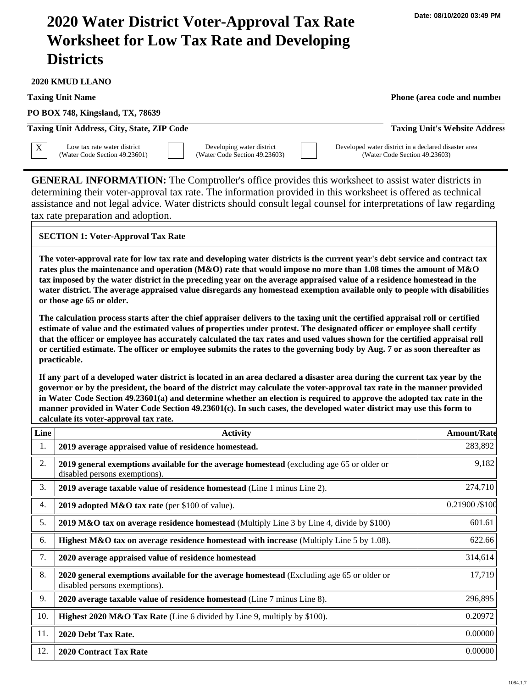## **2020 Water District Voter-Approval Tax Rate Worksheet for Low Tax Rate and Developing Districts**

**2020 KMUD LLANO**

**Taxing Unit Name Phone (area code and number Phone (area code and number** 

**PO BOX 748, Kingsland, TX, 78639**

**Taxing Unit Address, City, State, ZIP Code Taxing Unit's Website Address**

Low tax rate water district (Water Code Section 49.23601)

Developing water district (Water Code Section 49.23603) Developed water district in a declared disaster area (Water Code Section 49.23603)

**GENERAL INFORMATION:** The Comptroller's office provides this worksheet to assist water districts in determining their voter-approval tax rate. The information provided in this worksheet is offered as technical assistance and not legal advice. Water districts should consult legal counsel for interpretations of law regarding tax rate preparation and adoption.

## **SECTION 1: Voter-Approval Tax Rate**

**The voter-approval rate for low tax rate and developing water districts is the current year's debt service and contract tax rates plus the maintenance and operation (M&O) rate that would impose no more than 1.08 times the amount of M&O tax imposed by the water district in the preceding year on the average appraised value of a residence homestead in the water district. The average appraised value disregards any homestead exemption available only to people with disabilities or those age 65 or older.**

**The calculation process starts after the chief appraiser delivers to the taxing unit the certified appraisal roll or certified estimate of value and the estimated values of properties under protest. The designated officer or employee shall certify that the officer or employee has accurately calculated the tax rates and used values shown for the certified appraisal roll or certified estimate. The officer or employee submits the rates to the governing body by Aug. 7 or as soon thereafter as practicable.**

**If any part of a developed water district is located in an area declared a disaster area during the current tax year by the governor or by the president, the board of the district may calculate the voter-approval tax rate in the manner provided in Water Code Section 49.23601(a) and determine whether an election is required to approve the adopted tax rate in the manner provided in Water Code Section 49.23601(c). In such cases, the developed water district may use this form to calculate its voter-approval tax rate.**

| Line | <b>Activity</b>                                                                                                            | <b>Amount/Rate</b> |
|------|----------------------------------------------------------------------------------------------------------------------------|--------------------|
| 1.   | 2019 average appraised value of residence homestead.                                                                       | 283,892            |
| 2.   | 2019 general exemptions available for the average homestead (excluding age 65 or older or<br>disabled persons exemptions). | 9,182              |
| 3.   | 2019 average taxable value of residence homestead (Line 1 minus Line 2).                                                   | 274,710            |
| 4.   | 2019 adopted M&O tax rate (per \$100 of value).                                                                            | 0.21900 / \$100    |
| 5.   | <b>2019 M&amp;O tax on average residence homestead</b> (Multiply Line 3 by Line 4, divide by $$100$ )                      | 601.61             |
| 6.   | Highest M&O tax on average residence homestead with increase (Multiply Line 5 by 1.08).                                    | 622.66             |
| 7.   | 2020 average appraised value of residence homestead                                                                        | 314,614            |
| 8.   | 2020 general exemptions available for the average homestead (Excluding age 65 or older or<br>disabled persons exemptions). | 17,719             |
| 9.   | 2020 average taxable value of residence homestead (Line 7 minus Line 8).                                                   | 296,895            |
| 10.  | <b>Highest 2020 M&amp;O Tax Rate</b> (Line 6 divided by Line 9, multiply by \$100).                                        | 0.20972            |
| 11.  | 2020 Debt Tax Rate.                                                                                                        | 0.00000            |
| 12.  | <b>2020 Contract Tax Rate</b>                                                                                              | 0.00000            |